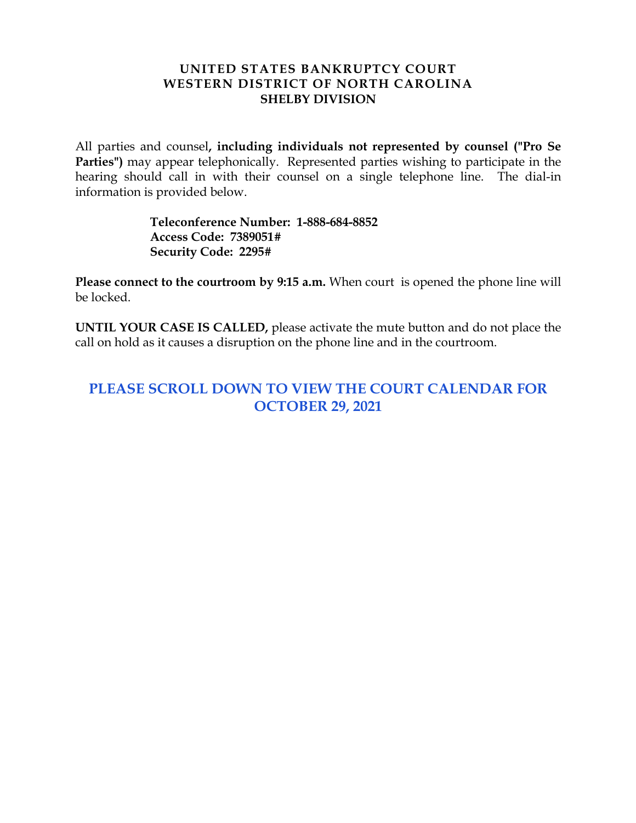#### **UNITED STATES BANKRUPTCY COURT WESTERN DISTRICT OF NORTH CAROLINA SHELBY DIVISION**

All parties and counsel**, including individuals not represented by counsel ("Pro Se Parties")** may appear telephonically. Represented parties wishing to participate in the hearing should call in with their counsel on a single telephone line. The dial-in information is provided below.

> **Teleconference Number: 1-888-684-8852 Access Code: 7389051# Security Code: 2295#**

**Please connect to the courtroom by 9:15 a.m.** When court is opened the phone line will be locked.

**UNTIL YOUR CASE IS CALLED,** please activate the mute button and do not place the call on hold as it causes a disruption on the phone line and in the courtroom.

# **PLEASE SCROLL DOWN TO VIEW THE COURT CALENDAR FOR OCTOBER 29, 2021**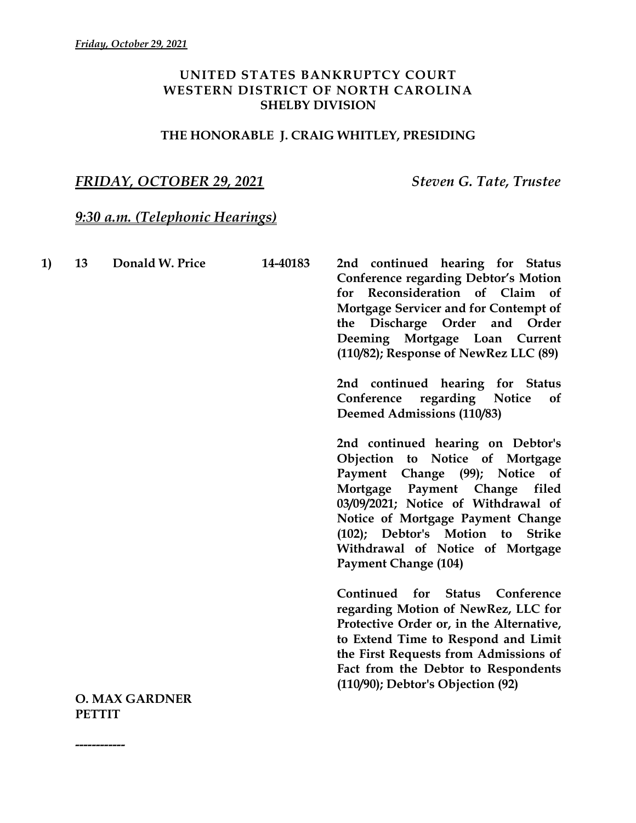### **UNITED STATES BANKRUPTCY COURT WESTERN DISTRICT OF NORTH CAROLINA SHELBY DIVISION**

### **THE HONORABLE J. CRAIG WHITLEY, PRESIDING**

## *FRIDAY, OCTOBER 29, 2021 Steven G. Tate, Trustee*

## *9:30 a.m. (Telephonic Hearings)*

| 1) | 13 | Donald W. Price       | 14-40183 | 2nd continued hearing for Status<br><b>Conference regarding Debtor's Motion</b><br>Reconsideration of Claim of<br>for<br>Mortgage Servicer and for Contempt of<br>the Discharge Order and<br>Order<br>Deeming Mortgage Loan Current<br>(110/82); Response of NewRez LLC (89)<br>2nd continued hearing for Status<br>regarding Notice<br>Conference<br><sub>of</sub><br><b>Deemed Admissions (110/83)</b> |
|----|----|-----------------------|----------|----------------------------------------------------------------------------------------------------------------------------------------------------------------------------------------------------------------------------------------------------------------------------------------------------------------------------------------------------------------------------------------------------------|
|    |    |                       |          | 2nd continued hearing on Debtor's<br>Objection to Notice of Mortgage<br>Payment Change (99); Notice of<br>Mortgage Payment Change filed<br>03/09/2021; Notice of Withdrawal of<br>Notice of Mortgage Payment Change<br>(102); Debtor's Motion to<br><b>Strike</b><br>Withdrawal of Notice of Mortgage<br><b>Payment Change (104)</b>                                                                     |
|    |    |                       |          | Conference<br>Continued for<br><b>Status</b><br>regarding Motion of NewRez, LLC for<br>Protective Order or, in the Alternative,<br>to Extend Time to Respond and Limit<br>the First Requests from Admissions of<br>Fact from the Debtor to Respondents<br>(110/90); Debtor's Objection (92)                                                                                                              |
|    |    | <b>O. MAX GARDNER</b> |          |                                                                                                                                                                                                                                                                                                                                                                                                          |

**PETTIT**

**------------**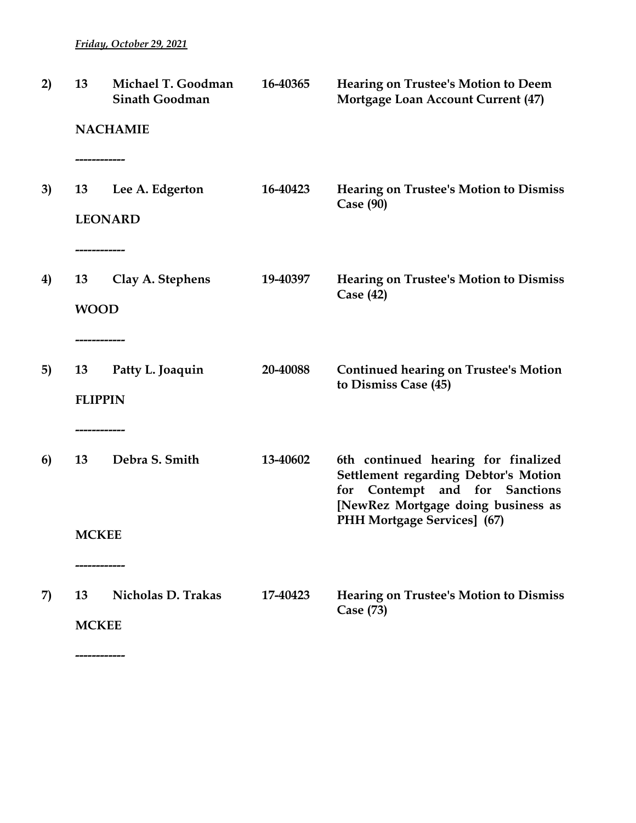*Friday, October 29, 2021*

| 2) | 13                                   | Michael T. Goodman<br><b>Sinath Goodman</b> | 16-40365 | <b>Hearing on Trustee's Motion to Deem</b><br><b>Mortgage Loan Account Current (47)</b>                                                                                                   |
|----|--------------------------------------|---------------------------------------------|----------|-------------------------------------------------------------------------------------------------------------------------------------------------------------------------------------------|
|    |                                      | <b>NACHAMIE</b>                             |          |                                                                                                                                                                                           |
| 3) | ------------<br>13                   | Lee A. Edgerton<br><b>LEONARD</b>           | 16-40423 | <b>Hearing on Trustee's Motion to Dismiss</b><br>Case (90)                                                                                                                                |
| 4) | -------------<br>13<br><b>WOOD</b>   | Clay A. Stephens                            | 19-40397 | <b>Hearing on Trustee's Motion to Dismiss</b><br>Case $(42)$                                                                                                                              |
| 5) | ------------<br>13<br><b>FLIPPIN</b> | Patty L. Joaquin                            | 20-40088 | <b>Continued hearing on Trustee's Motion</b><br>to Dismiss Case (45)                                                                                                                      |
| 6) | 13                                   | Debra S. Smith                              | 13-40602 | 6th continued hearing for finalized<br><b>Settlement regarding Debtor's Motion</b><br>for Contempt and for Sanctions<br>[NewRez Mortgage doing business as<br>PHH Mortgage Services] (67) |
|    | <b>MCKEE</b>                         |                                             |          |                                                                                                                                                                                           |
| 7) | 13<br><b>MCKEE</b>                   | -----------<br>Nicholas D. Trakas           | 17-40423 | <b>Hearing on Trustee's Motion to Dismiss</b><br>Case (73)                                                                                                                                |
|    | ___________                          |                                             |          |                                                                                                                                                                                           |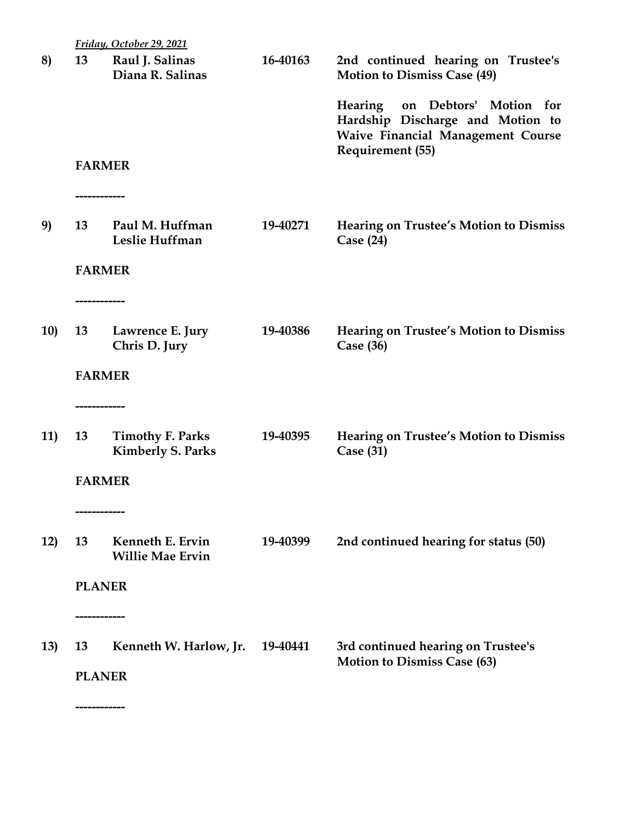|            |                    | Friday, October 29, 2021                            |          |                                                                                                                |
|------------|--------------------|-----------------------------------------------------|----------|----------------------------------------------------------------------------------------------------------------|
| 8)         | 13                 | Raul J. Salinas<br>Diana R. Salinas                 | 16-40163 | 2nd continued hearing on Trustee's<br><b>Motion to Dismiss Case (49)</b>                                       |
|            |                    |                                                     |          | Hearing on Debtors' Motion for<br>Hardship Discharge and Motion to<br><b>Waive Financial Management Course</b> |
|            |                    | <b>FARMER</b>                                       |          | Requirement (55)                                                                                               |
| 9)         | 13                 | Paul M. Huffman<br>Leslie Huffman                   | 19-40271 | <b>Hearing on Trustee's Motion to Dismiss</b><br>Case $(24)$                                                   |
|            |                    | <b>FARMER</b>                                       |          |                                                                                                                |
| <b>10)</b> | 13                 | Lawrence E. Jury<br>Chris D. Jury                   | 19-40386 | <b>Hearing on Trustee's Motion to Dismiss</b><br>Case $(36)$                                                   |
|            |                    | <b>FARMER</b>                                       |          |                                                                                                                |
| 11)        | ------------<br>13 | <b>Timothy F. Parks</b><br><b>Kimberly S. Parks</b> | 19-40395 | <b>Hearing on Trustee's Motion to Dismiss</b><br>Case $(31)$                                                   |
|            |                    | <b>FARMER</b>                                       |          |                                                                                                                |
| 12)        | 13                 | Kenneth E. Ervin<br><b>Willie Mae Ervin</b>         | 19-40399 | 2nd continued hearing for status (50)                                                                          |
|            | <b>PLANER</b>      |                                                     |          |                                                                                                                |
| 13)        | ------------<br>13 | Kenneth W. Harlow, Jr.                              | 19-40441 | 3rd continued hearing on Trustee's<br><b>Motion to Dismiss Case (63)</b>                                       |
|            | <b>PLANER</b>      |                                                     |          |                                                                                                                |
|            |                    |                                                     |          |                                                                                                                |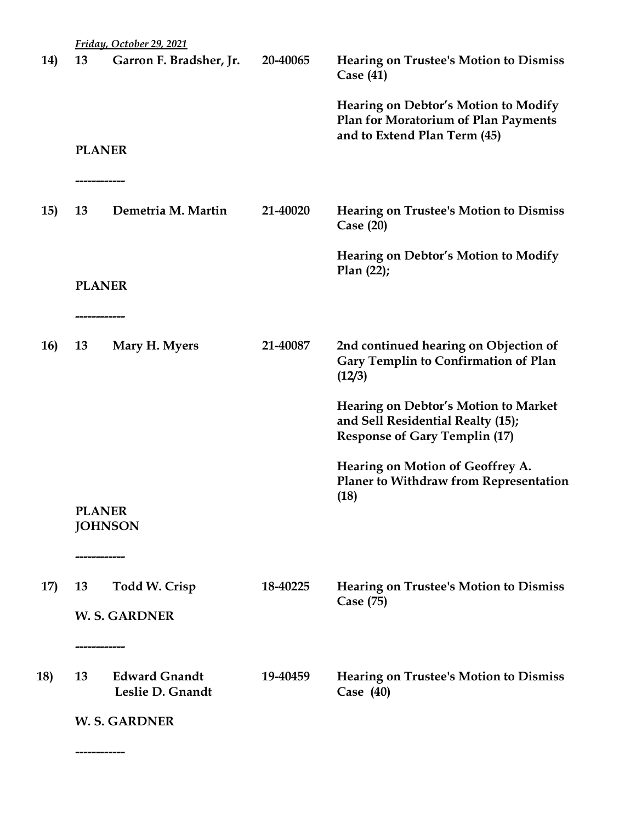|                  | Friday, October 29, 2021                 |          |                                                                                                                          |
|------------------|------------------------------------------|----------|--------------------------------------------------------------------------------------------------------------------------|
| 13<br><b>14)</b> | Garron F. Bradsher, Jr.                  | 20-40065 | <b>Hearing on Trustee's Motion to Dismiss</b><br>Case $(41)$                                                             |
|                  |                                          |          | <b>Hearing on Debtor's Motion to Modify</b><br><b>Plan for Moratorium of Plan Payments</b>                               |
|                  | <b>PLANER</b>                            |          | and to Extend Plan Term (45)                                                                                             |
| 15)<br>13        | ----------------<br>Demetria M. Martin   | 21-40020 | <b>Hearing on Trustee's Motion to Dismiss</b><br>Case $(20)$                                                             |
|                  |                                          |          | <b>Hearing on Debtor's Motion to Modify</b><br>Plan(22);                                                                 |
|                  | <b>PLANER</b><br>-------------           |          |                                                                                                                          |
| <b>16)</b><br>13 | Mary H. Myers                            | 21-40087 | 2nd continued hearing on Objection of<br><b>Gary Templin to Confirmation of Plan</b><br>(12/3)                           |
|                  |                                          |          | <b>Hearing on Debtor's Motion to Market</b><br>and Sell Residential Realty (15);<br><b>Response of Gary Templin (17)</b> |
|                  |                                          |          | Hearing on Motion of Geoffrey A.<br><b>Planer to Withdraw from Representation</b><br>(18)                                |
|                  | <b>PLANER</b><br><b>JOHNSON</b>          |          |                                                                                                                          |
| 17)<br>13        | ------------<br>Todd W. Crisp            | 18-40225 | <b>Hearing on Trustee's Motion to Dismiss</b>                                                                            |
|                  | <b>W.S. GARDNER</b>                      |          | Case (75)                                                                                                                |
|                  | ----------------                         |          |                                                                                                                          |
| 13               | <b>Edward Gnandt</b><br>Leslie D. Gnandt | 19-40459 | <b>Hearing on Trustee's Motion to Dismiss</b><br>Case $(40)$                                                             |
|                  | <b>W.S. GARDNER</b>                      |          |                                                                                                                          |
|                  |                                          |          |                                                                                                                          |
|                  |                                          |          |                                                                                                                          |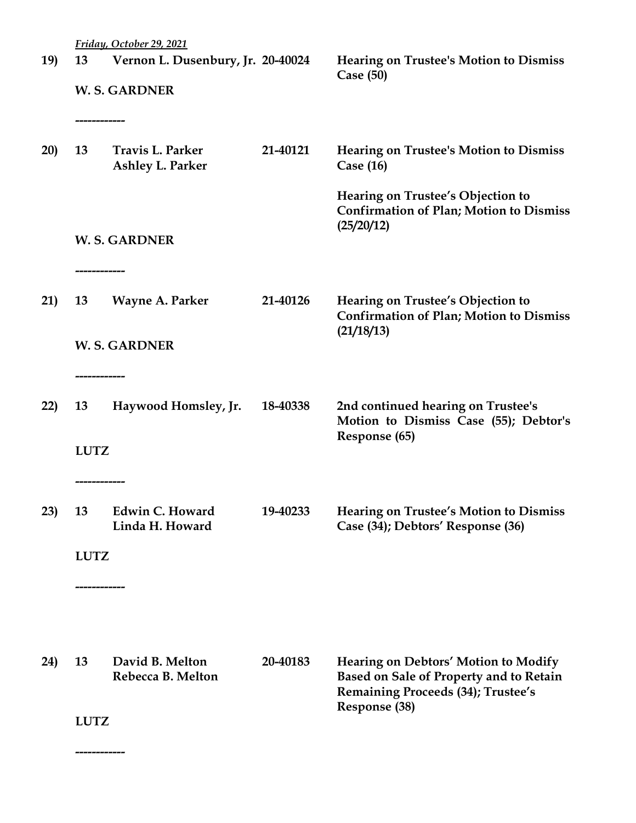|            |              | Friday, October 29, 2021                    |          |                                                                                                                                     |  |  |
|------------|--------------|---------------------------------------------|----------|-------------------------------------------------------------------------------------------------------------------------------------|--|--|
| <b>19)</b> | 13           | Vernon L. Dusenbury, Jr. 20-40024           |          | <b>Hearing on Trustee's Motion to Dismiss</b><br>Case $(50)$                                                                        |  |  |
|            | ------------ | <b>W.S. GARDNER</b>                         |          |                                                                                                                                     |  |  |
| 20)        | 13           | <b>Travis L. Parker</b><br>Ashley L. Parker | 21-40121 | <b>Hearing on Trustee's Motion to Dismiss</b><br>Case $(16)$                                                                        |  |  |
|            |              |                                             |          | Hearing on Trustee's Objection to<br><b>Confirmation of Plan; Motion to Dismiss</b><br>(25/20/12)                                   |  |  |
|            |              | <b>W.S. GARDNER</b>                         |          |                                                                                                                                     |  |  |
| 21)        | 13           | Wayne A. Parker                             | 21-40126 | Hearing on Trustee's Objection to<br><b>Confirmation of Plan; Motion to Dismiss</b><br>(21/18/13)                                   |  |  |
|            |              | <b>W.S. GARDNER</b>                         |          |                                                                                                                                     |  |  |
| 22)        | 13           | Haywood Homsley, Jr.                        | 18-40338 | 2nd continued hearing on Trustee's<br>Motion to Dismiss Case (55); Debtor's                                                         |  |  |
|            | <b>LUTZ</b>  |                                             |          | Response (65)                                                                                                                       |  |  |
| 23)        | 13           | Edwin C. Howard<br>Linda H. Howard          | 19-40233 | <b>Hearing on Trustee's Motion to Dismiss</b><br>Case (34); Debtors' Response (36)                                                  |  |  |
|            |              | <b>LUTZ</b><br>----------------             |          |                                                                                                                                     |  |  |
|            |              |                                             |          |                                                                                                                                     |  |  |
| 24)        | 13           | David B. Melton<br>Rebecca B. Melton        | 20-40183 | <b>Hearing on Debtors' Motion to Modify</b><br>Based on Sale of Property and to Retain<br><b>Remaining Proceeds (34); Trustee's</b> |  |  |
|            | <b>LUTZ</b>  |                                             |          | Response (38)                                                                                                                       |  |  |
|            | ------------ |                                             |          |                                                                                                                                     |  |  |